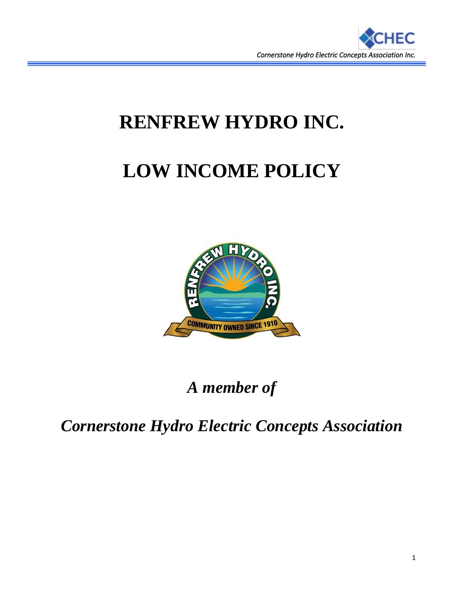

# **RENFREW HYDRO INC.**

# **LOW INCOME POLICY**



*A member of*

*Cornerstone Hydro Electric Concepts Association*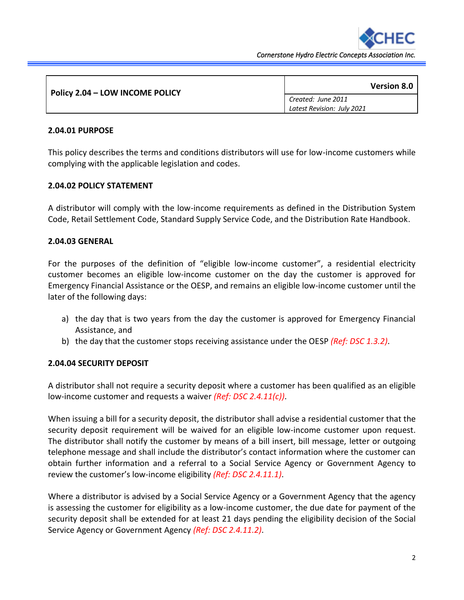

*Cornerstone Hydro Electric Concepts Association Inc.* 

| Policy 2.04 - LOW INCOME POLICY | <b>Version 8.0</b>         |
|---------------------------------|----------------------------|
|                                 | Created: June 2011         |
|                                 | Latest Revision: July 2021 |

#### **2.04.01 PURPOSE**

This policy describes the terms and conditions distributors will use for low-income customers while complying with the applicable legislation and codes.

#### **2.04.02 POLICY STATEMENT**

A distributor will comply with the low-income requirements as defined in the Distribution System Code, Retail Settlement Code, Standard Supply Service Code, and the Distribution Rate Handbook.

#### **2.04.03 GENERAL**

For the purposes of the definition of "eligible low-income customer", a residential electricity customer becomes an eligible low-income customer on the day the customer is approved for Emergency Financial Assistance or the OESP, and remains an eligible low-income customer until the later of the following days:

- a) the day that is two years from the day the customer is approved for Emergency Financial Assistance, and
- b) the day that the customer stops receiving assistance under the OESP *(Ref: DSC 1.3.2)*.

#### **2.04.04 SECURITY DEPOSIT**

A distributor shall not require a security deposit where a customer has been qualified as an eligible low-income customer and requests a waiver *(Ref: DSC 2.4.11(c))*.

When issuing a bill for a security deposit, the distributor shall advise a residential customer that the security deposit requirement will be waived for an eligible low-income customer upon request. The distributor shall notify the customer by means of a bill insert, bill message, letter or outgoing telephone message and shall include the distributor's contact information where the customer can obtain further information and a referral to a Social Service Agency or Government Agency to review the customer's low-income eligibility *(Ref: DSC 2.4.11.1)*.

Where a distributor is advised by a Social Service Agency or a Government Agency that the agency is assessing the customer for eligibility as a low-income customer, the due date for payment of the security deposit shall be extended for at least 21 days pending the eligibility decision of the Social Service Agency or Government Agency *(Ref: DSC 2.4.11.2)*.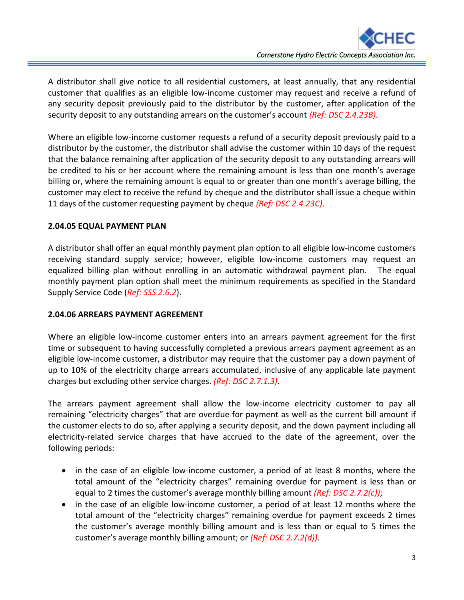A distributor shall give notice to all residential customers, at least annually, that any residential customer that qualifies as an eligible low-income customer may request and receive a refund of any security deposit previously paid to the distributor by the customer, after application of the security deposit to any outstanding arrears on the customer's account *(Ref: DSC 2.4.23B)*.

Where an eligible low-income customer requests a refund of a security deposit previously paid to a distributor by the customer, the distributor shall advise the customer within 10 days of the request that the balance remaining after application of the security deposit to any outstanding arrears will be credited to his or her account where the remaining amount is less than one month's average billing or, where the remaining amount is equal to or greater than one month's average billing, the customer may elect to receive the refund by cheque and the distributor shall issue a cheque within 11 days of the customer requesting payment by cheque *(Ref: DSC 2.4.23C)*.

# **2.04.05 EQUAL PAYMENT PLAN**

A distributor shall offer an equal monthly payment plan option to all eligible low-income customers receiving standard supply service; however, eligible low-income customers may request an equalized billing plan without enrolling in an automatic withdrawal payment plan. The equal monthly payment plan option shall meet the minimum requirements as specified in the Standard Supply Service Code (*Ref: SSS 2.6.2*).

# **2.04.06 ARREARS PAYMENT AGREEMENT**

Where an eligible low-income customer enters into an arrears payment agreement for the first time or subsequent to having successfully completed a previous arrears payment agreement as an eligible low-income customer, a distributor may require that the customer pay a down payment of up to 10% of the electricity charge arrears accumulated, inclusive of any applicable late payment charges but excluding other service charges. *(Ref: DSC 2.7.1.3)*.

The arrears payment agreement shall allow the low-income electricity customer to pay all remaining "electricity charges" that are overdue for payment as well as the current bill amount if the customer elects to do so, after applying a security deposit, and the down payment including all electricity-related service charges that have accrued to the date of the agreement, over the following periods:

- in the case of an eligible low-income customer, a period of at least 8 months, where the total amount of the "electricity charges" remaining overdue for payment is less than or equal to 2 times the customer's average monthly billing amount *(Ref: DSC 2.7.2(c))*;
- in the case of an eligible low-income customer, a period of at least 12 months where the total amount of the "electricity charges" remaining overdue for payment exceeds 2 times the customer's average monthly billing amount and is less than or equal to 5 times the customer's average monthly billing amount; or *(Ref: DSC 2.7.2(d))*.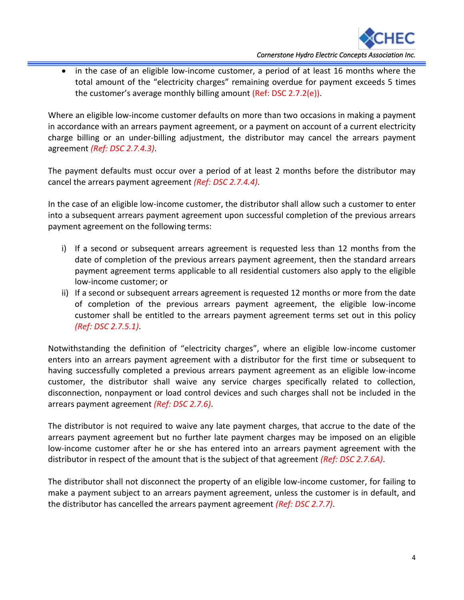

in the case of an eligible low-income customer, a period of at least 16 months where the total amount of the "electricity charges" remaining overdue for payment exceeds 5 times the customer's average monthly billing amount (Ref: DSC 2.7.2(e)).

Where an eligible low-income customer defaults on more than two occasions in making a payment in accordance with an arrears payment agreement, or a payment on account of a current electricity charge billing or an under-billing adjustment, the distributor may cancel the arrears payment agreement *(Ref: DSC 2.7.4.3)*.

The payment defaults must occur over a period of at least 2 months before the distributor may cancel the arrears payment agreement *(Ref: DSC 2.7.4.4)*.

In the case of an eligible low-income customer, the distributor shall allow such a customer to enter into a subsequent arrears payment agreement upon successful completion of the previous arrears payment agreement on the following terms:

- i) If a second or subsequent arrears agreement is requested less than 12 months from the date of completion of the previous arrears payment agreement, then the standard arrears payment agreement terms applicable to all residential customers also apply to the eligible low-income customer; or
- ii) If a second or subsequent arrears agreement is requested 12 months or more from the date of completion of the previous arrears payment agreement, the eligible low-income customer shall be entitled to the arrears payment agreement terms set out in this policy *(Ref: DSC 2.7.5.1)*.

Notwithstanding the definition of "electricity charges", where an eligible low-income customer enters into an arrears payment agreement with a distributor for the first time or subsequent to having successfully completed a previous arrears payment agreement as an eligible low-income customer, the distributor shall waive any service charges specifically related to collection, disconnection, nonpayment or load control devices and such charges shall not be included in the arrears payment agreement *(Ref: DSC 2.7.6)*.

The distributor is not required to waive any late payment charges, that accrue to the date of the arrears payment agreement but no further late payment charges may be imposed on an eligible low-income customer after he or she has entered into an arrears payment agreement with the distributor in respect of the amount that is the subject of that agreement *(Ref: DSC 2.7.6A)*.

The distributor shall not disconnect the property of an eligible low-income customer, for failing to make a payment subject to an arrears payment agreement, unless the customer is in default, and the distributor has cancelled the arrears payment agreement *(Ref: DSC 2.7.7)*.